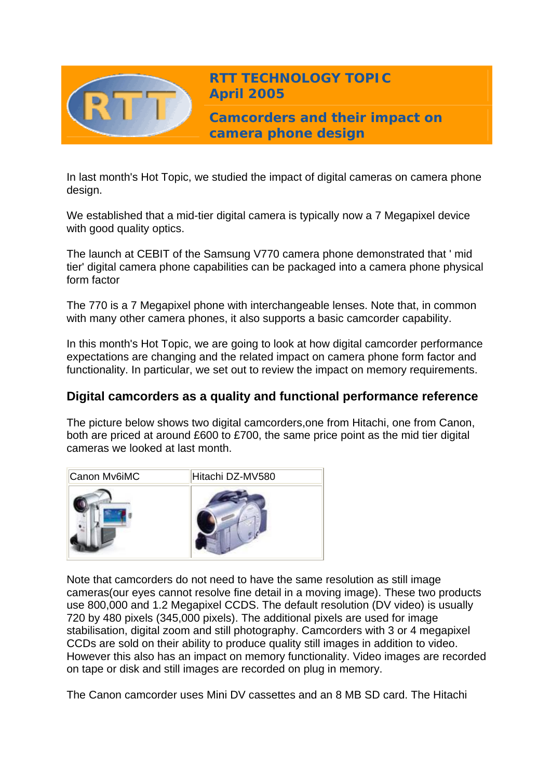

**RTT TECHNOLOGY TOPIC April 2005**

**Camcorders and their impact on camera phone design** 

In last month's Hot Topic, we studied the impact of digital cameras on camera phone design.

We established that a mid-tier digital camera is typically now a 7 Megapixel device with good quality optics.

The launch at CEBIT of the Samsung V770 camera phone demonstrated that ' mid tier' digital camera phone capabilities can be packaged into a camera phone physical form factor

The 770 is a 7 Megapixel phone with interchangeable lenses. Note that, in common with many other camera phones, it also supports a basic camcorder capability.

In this month's Hot Topic, we are going to look at how digital camcorder performance expectations are changing and the related impact on camera phone form factor and functionality. In particular, we set out to review the impact on memory requirements.

# **Digital camcorders as a quality and functional performance reference**

The picture below shows two digital camcorders,one from Hitachi, one from Canon, both are priced at around £600 to £700, the same price point as the mid tier digital cameras we looked at last month.



Note that camcorders do not need to have the same resolution as still image cameras(our eyes cannot resolve fine detail in a moving image). These two products use 800,000 and 1.2 Megapixel CCDS. The default resolution (DV video) is usually 720 by 480 pixels (345,000 pixels). The additional pixels are used for image stabilisation, digital zoom and still photography. Camcorders with 3 or 4 megapixel CCDs are sold on their ability to produce quality still images in addition to video. However this also has an impact on memory functionality. Video images are recorded on tape or disk and still images are recorded on plug in memory.

The Canon camcorder uses Mini DV cassettes and an 8 MB SD card. The Hitachi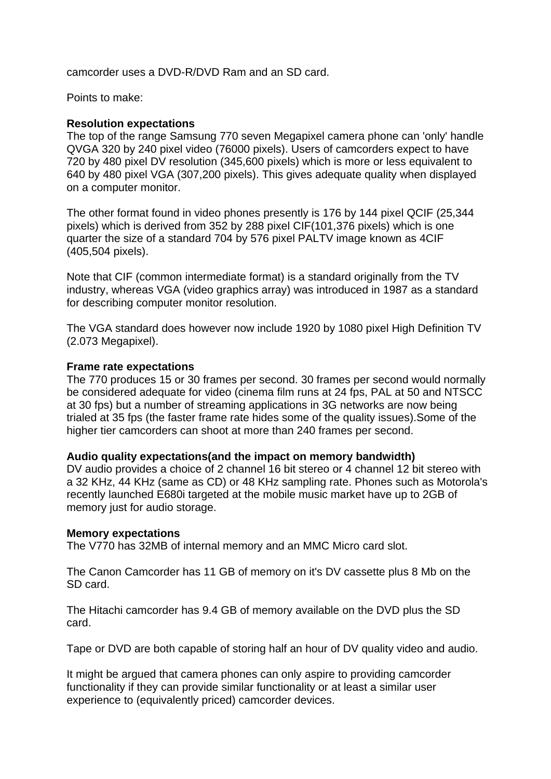camcorder uses a DVD-R/DVD Ram and an SD card.

Points to make:

### **Resolution expectations**

The top of the range Samsung 770 seven Megapixel camera phone can 'only' handle QVGA 320 by 240 pixel video (76000 pixels). Users of camcorders expect to have 720 by 480 pixel DV resolution (345,600 pixels) which is more or less equivalent to 640 by 480 pixel VGA (307,200 pixels). This gives adequate quality when displayed on a computer monitor.

The other format found in video phones presently is 176 by 144 pixel QCIF (25,344 pixels) which is derived from 352 by 288 pixel CIF(101,376 pixels) which is one quarter the size of a standard 704 by 576 pixel PALTV image known as 4CIF (405,504 pixels).

Note that CIF (common intermediate format) is a standard originally from the TV industry, whereas VGA (video graphics array) was introduced in 1987 as a standard for describing computer monitor resolution.

The VGA standard does however now include 1920 by 1080 pixel High Definition TV (2.073 Megapixel).

#### **Frame rate expectations**

The 770 produces 15 or 30 frames per second. 30 frames per second would normally be considered adequate for video (cinema film runs at 24 fps, PAL at 50 and NTSCC at 30 fps) but a number of streaming applications in 3G networks are now being trialed at 35 fps (the faster frame rate hides some of the quality issues).Some of the higher tier camcorders can shoot at more than 240 frames per second.

#### **Audio quality expectations(and the impact on memory bandwidth)**

DV audio provides a choice of 2 channel 16 bit stereo or 4 channel 12 bit stereo with a 32 KHz, 44 KHz (same as CD) or 48 KHz sampling rate. Phones such as Motorola's recently launched E680i targeted at the mobile music market have up to 2GB of memory just for audio storage.

#### **Memory expectations**

The V770 has 32MB of internal memory and an MMC Micro card slot.

The Canon Camcorder has 11 GB of memory on it's DV cassette plus 8 Mb on the SD card.

The Hitachi camcorder has 9.4 GB of memory available on the DVD plus the SD card.

Tape or DVD are both capable of storing half an hour of DV quality video and audio.

It might be argued that camera phones can only aspire to providing camcorder functionality if they can provide similar functionality or at least a similar user experience to (equivalently priced) camcorder devices.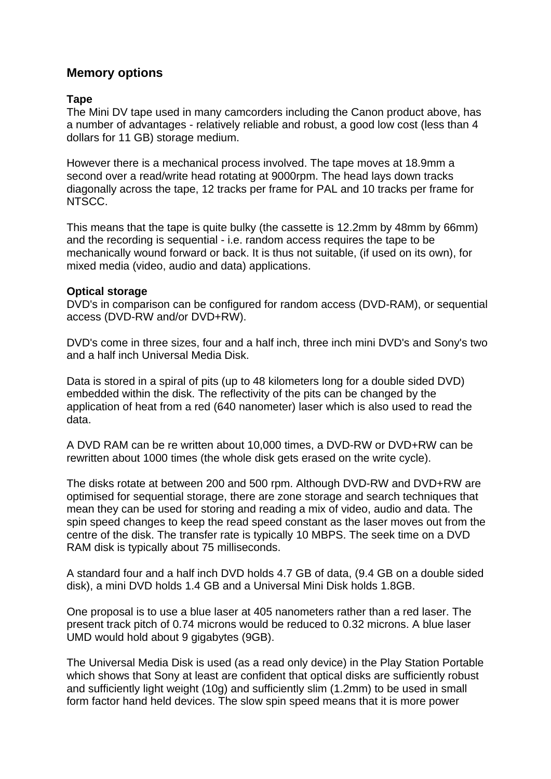## **Memory options**

### **Tape**

The Mini DV tape used in many camcorders including the Canon product above, has a number of advantages - relatively reliable and robust, a good low cost (less than 4 dollars for 11 GB) storage medium.

However there is a mechanical process involved. The tape moves at 18.9mm a second over a read/write head rotating at 9000rpm. The head lays down tracks diagonally across the tape, 12 tracks per frame for PAL and 10 tracks per frame for NTSCC.

This means that the tape is quite bulky (the cassette is 12.2mm by 48mm by 66mm) and the recording is sequential - i.e. random access requires the tape to be mechanically wound forward or back. It is thus not suitable, (if used on its own), for mixed media (video, audio and data) applications.

#### **Optical storage**

DVD's in comparison can be configured for random access (DVD-RAM), or sequential access (DVD-RW and/or DVD+RW).

DVD's come in three sizes, four and a half inch, three inch mini DVD's and Sony's two and a half inch Universal Media Disk.

Data is stored in a spiral of pits (up to 48 kilometers long for a double sided DVD) embedded within the disk. The reflectivity of the pits can be changed by the application of heat from a red (640 nanometer) laser which is also used to read the data.

A DVD RAM can be re written about 10,000 times, a DVD-RW or DVD+RW can be rewritten about 1000 times (the whole disk gets erased on the write cycle).

The disks rotate at between 200 and 500 rpm. Although DVD-RW and DVD+RW are optimised for sequential storage, there are zone storage and search techniques that mean they can be used for storing and reading a mix of video, audio and data. The spin speed changes to keep the read speed constant as the laser moves out from the centre of the disk. The transfer rate is typically 10 MBPS. The seek time on a DVD RAM disk is typically about 75 milliseconds.

A standard four and a half inch DVD holds 4.7 GB of data, (9.4 GB on a double sided disk), a mini DVD holds 1.4 GB and a Universal Mini Disk holds 1.8GB.

One proposal is to use a blue laser at 405 nanometers rather than a red laser. The present track pitch of 0.74 microns would be reduced to 0.32 microns. A blue laser UMD would hold about 9 gigabytes (9GB).

The Universal Media Disk is used (as a read only device) in the Play Station Portable which shows that Sony at least are confident that optical disks are sufficiently robust and sufficiently light weight (10g) and sufficiently slim (1.2mm) to be used in small form factor hand held devices. The slow spin speed means that it is more power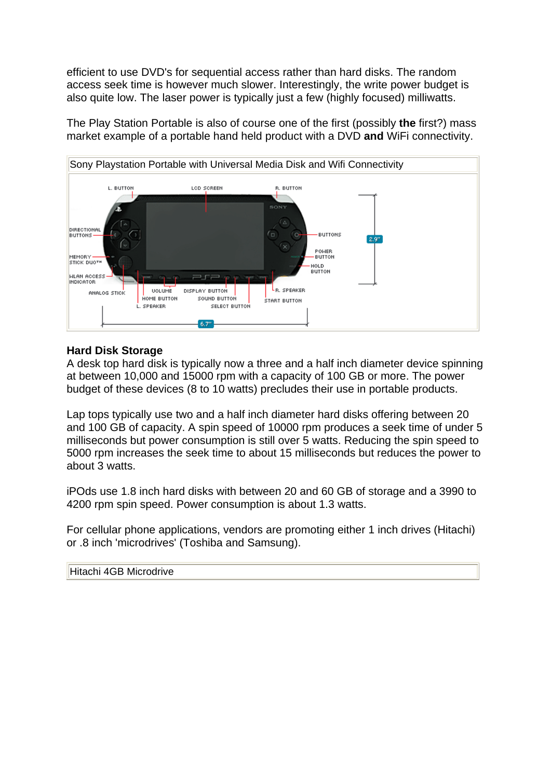efficient to use DVD's for sequential access rather than hard disks. The random access seek time is however much slower. Interestingly, the write power budget is also quite low. The laser power is typically just a few (highly focused) milliwatts.

The Play Station Portable is also of course one of the first (possibly **the** first?) mass market example of a portable hand held product with a DVD **and** WiFi connectivity.



## **Hard Disk Storage**

A desk top hard disk is typically now a three and a half inch diameter device spinning at between 10,000 and 15000 rpm with a capacity of 100 GB or more. The power budget of these devices (8 to 10 watts) precludes their use in portable products.

Lap tops typically use two and a half inch diameter hard disks offering between 20 and 100 GB of capacity. A spin speed of 10000 rpm produces a seek time of under 5 milliseconds but power consumption is still over 5 watts. Reducing the spin speed to 5000 rpm increases the seek time to about 15 milliseconds but reduces the power to about 3 watts.

iPOds use 1.8 inch hard disks with between 20 and 60 GB of storage and a 3990 to 4200 rpm spin speed. Power consumption is about 1.3 watts.

For cellular phone applications, vendors are promoting either 1 inch drives (Hitachi) or .8 inch 'microdrives' (Toshiba and Samsung).

Hitachi 4GB Microdrive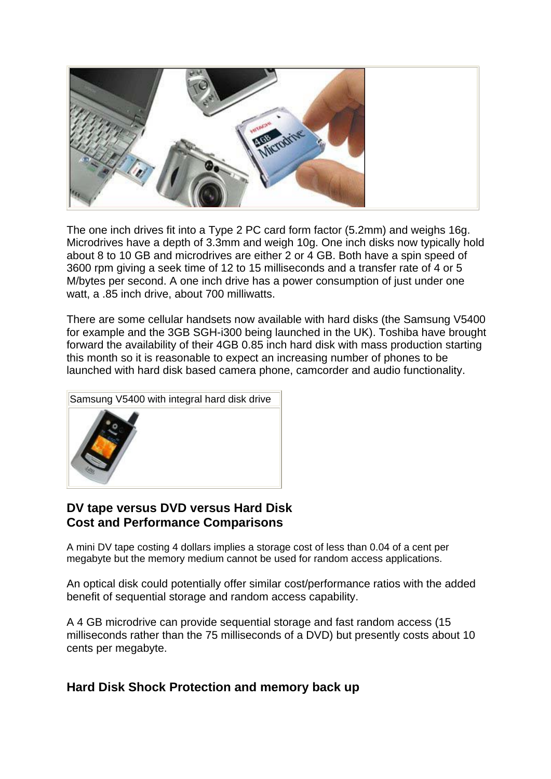

The one inch drives fit into a Type 2 PC card form factor (5.2mm) and weighs 16g. Microdrives have a depth of 3.3mm and weigh 10g. One inch disks now typically hold about 8 to 10 GB and microdrives are either 2 or 4 GB. Both have a spin speed of 3600 rpm giving a seek time of 12 to 15 milliseconds and a transfer rate of 4 or 5 M/bytes per second. A one inch drive has a power consumption of just under one watt, a .85 inch drive, about 700 milliwatts.

There are some cellular handsets now available with hard disks (the Samsung V5400 for example and the 3GB SGH-i300 being launched in the UK). Toshiba have brought forward the availability of their 4GB 0.85 inch hard disk with mass production starting this month so it is reasonable to expect an increasing number of phones to be launched with hard disk based camera phone, camcorder and audio functionality.



## **DV tape versus DVD versus Hard Disk Cost and Performance Comparisons**

A mini DV tape costing 4 dollars implies a storage cost of less than 0.04 of a cent per megabyte but the memory medium cannot be used for random access applications.

An optical disk could potentially offer similar cost/performance ratios with the added benefit of sequential storage and random access capability.

A 4 GB microdrive can provide sequential storage and fast random access (15 milliseconds rather than the 75 milliseconds of a DVD) but presently costs about 10 cents per megabyte.

## **Hard Disk Shock Protection and memory back up**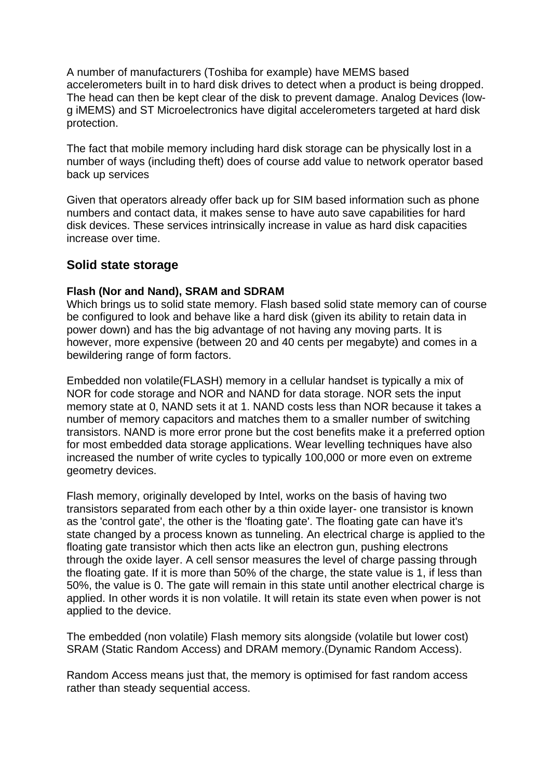A number of manufacturers (Toshiba for example) have MEMS based accelerometers built in to hard disk drives to detect when a product is being dropped. The head can then be kept clear of the disk to prevent damage. Analog Devices (lowg iMEMS) and ST Microelectronics have digital accelerometers targeted at hard disk protection.

The fact that mobile memory including hard disk storage can be physically lost in a number of ways (including theft) does of course add value to network operator based back up services

Given that operators already offer back up for SIM based information such as phone numbers and contact data, it makes sense to have auto save capabilities for hard disk devices. These services intrinsically increase in value as hard disk capacities increase over time.

## **Solid state storage**

### **Flash (Nor and Nand), SRAM and SDRAM**

Which brings us to solid state memory. Flash based solid state memory can of course be configured to look and behave like a hard disk (given its ability to retain data in power down) and has the big advantage of not having any moving parts. It is however, more expensive (between 20 and 40 cents per megabyte) and comes in a bewildering range of form factors.

Embedded non volatile(FLASH) memory in a cellular handset is typically a mix of NOR for code storage and NOR and NAND for data storage. NOR sets the input memory state at 0, NAND sets it at 1. NAND costs less than NOR because it takes a number of memory capacitors and matches them to a smaller number of switching transistors. NAND is more error prone but the cost benefits make it a preferred option for most embedded data storage applications. Wear levelling techniques have also increased the number of write cycles to typically 100,000 or more even on extreme geometry devices.

Flash memory, originally developed by Intel, works on the basis of having two transistors separated from each other by a thin oxide layer- one transistor is known as the 'control gate', the other is the 'floating gate'. The floating gate can have it's state changed by a process known as tunneling. An electrical charge is applied to the floating gate transistor which then acts like an electron gun, pushing electrons through the oxide layer. A cell sensor measures the level of charge passing through the floating gate. If it is more than 50% of the charge, the state value is 1, if less than 50%, the value is 0. The gate will remain in this state until another electrical charge is applied. In other words it is non volatile. It will retain its state even when power is not applied to the device.

The embedded (non volatile) Flash memory sits alongside (volatile but lower cost) SRAM (Static Random Access) and DRAM memory.(Dynamic Random Access).

Random Access means just that, the memory is optimised for fast random access rather than steady sequential access.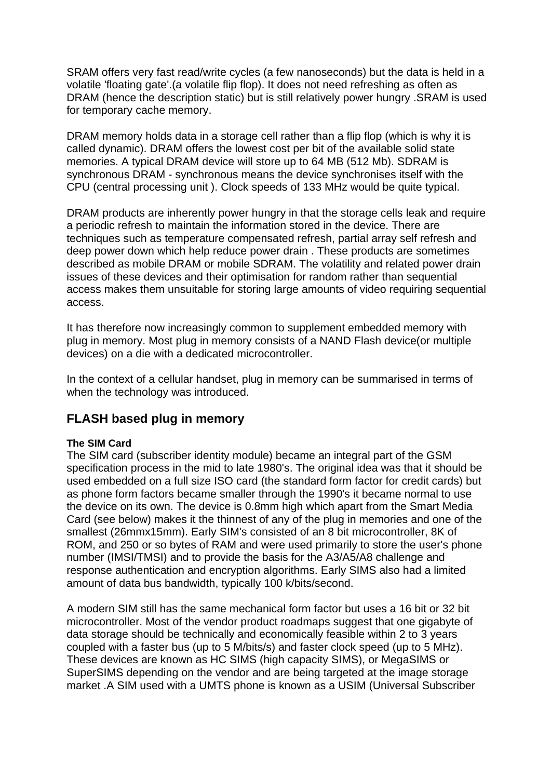SRAM offers very fast read/write cycles (a few nanoseconds) but the data is held in a volatile 'floating gate'.(a volatile flip flop). It does not need refreshing as often as DRAM (hence the description static) but is still relatively power hungry .SRAM is used for temporary cache memory.

DRAM memory holds data in a storage cell rather than a flip flop (which is why it is called dynamic). DRAM offers the lowest cost per bit of the available solid state memories. A typical DRAM device will store up to 64 MB (512 Mb). SDRAM is synchronous DRAM - synchronous means the device synchronises itself with the CPU (central processing unit ). Clock speeds of 133 MHz would be quite typical.

DRAM products are inherently power hungry in that the storage cells leak and require a periodic refresh to maintain the information stored in the device. There are techniques such as temperature compensated refresh, partial array self refresh and deep power down which help reduce power drain . These products are sometimes described as mobile DRAM or mobile SDRAM. The volatility and related power drain issues of these devices and their optimisation for random rather than sequential access makes them unsuitable for storing large amounts of video requiring sequential access.

It has therefore now increasingly common to supplement embedded memory with plug in memory. Most plug in memory consists of a NAND Flash device(or multiple devices) on a die with a dedicated microcontroller.

In the context of a cellular handset, plug in memory can be summarised in terms of when the technology was introduced.

## **FLASH based plug in memory**

#### **The SIM Card**

The SIM card (subscriber identity module) became an integral part of the GSM specification process in the mid to late 1980's. The original idea was that it should be used embedded on a full size ISO card (the standard form factor for credit cards) but as phone form factors became smaller through the 1990's it became normal to use the device on its own. The device is 0.8mm high which apart from the Smart Media Card (see below) makes it the thinnest of any of the plug in memories and one of the smallest (26mmx15mm). Early SIM's consisted of an 8 bit microcontroller, 8K of ROM, and 250 or so bytes of RAM and were used primarily to store the user's phone number (IMSI/TMSI) and to provide the basis for the A3/A5/A8 challenge and response authentication and encryption algorithms. Early SIMS also had a limited amount of data bus bandwidth, typically 100 k/bits/second.

A modern SIM still has the same mechanical form factor but uses a 16 bit or 32 bit microcontroller. Most of the vendor product roadmaps suggest that one gigabyte of data storage should be technically and economically feasible within 2 to 3 years coupled with a faster bus (up to 5 M/bits/s) and faster clock speed (up to 5 MHz). These devices are known as HC SIMS (high capacity SIMS), or MegaSIMS or SuperSIMS depending on the vendor and are being targeted at the image storage market .A SIM used with a UMTS phone is known as a USIM (Universal Subscriber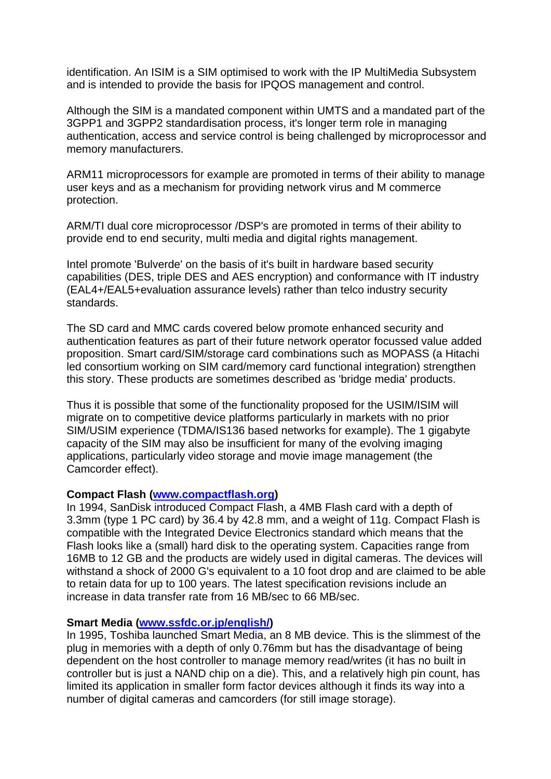identification. An ISIM is a SIM optimised to work with the IP MultiMedia Subsystem and is intended to provide the basis for IPQOS management and control.

Although the SIM is a mandated component within UMTS and a mandated part of the 3GPP1 and 3GPP2 standardisation process, it's longer term role in managing authentication, access and service control is being challenged by microprocessor and memory manufacturers.

ARM11 microprocessors for example are promoted in terms of their ability to manage user keys and as a mechanism for providing network virus and M commerce protection.

ARM/TI dual core microprocessor /DSP's are promoted in terms of their ability to provide end to end security, multi media and digital rights management.

Intel promote 'Bulverde' on the basis of it's built in hardware based security capabilities (DES, triple DES and AES encryption) and conformance with IT industry (EAL4+/EAL5+evaluation assurance levels) rather than telco industry security standards.

The SD card and MMC cards covered below promote enhanced security and authentication features as part of their future network operator focussed value added proposition. Smart card/SIM/storage card combinations such as MOPASS (a Hitachi led consortium working on SIM card/memory card functional integration) strengthen this story. These products are sometimes described as 'bridge media' products.

Thus it is possible that some of the functionality proposed for the USIM/ISIM will migrate on to competitive device platforms particularly in markets with no prior SIM/USIM experience (TDMA/IS136 based networks for example). The 1 gigabyte capacity of the SIM may also be insufficient for many of the evolving imaging applications, particularly video storage and movie image management (the Camcorder effect).

### **Compact Flash [\(www.compactflash.org\)](http://www.compactflash.org/)**

In 1994, SanDisk introduced Compact Flash, a 4MB Flash card with a depth of 3.3mm (type 1 PC card) by 36.4 by 42.8 mm, and a weight of 11g. Compact Flash is compatible with the Integrated Device Electronics standard which means that the Flash looks like a (small) hard disk to the operating system. Capacities range from 16MB to 12 GB and the products are widely used in digital cameras. The devices will withstand a shock of 2000 G's equivalent to a 10 foot drop and are claimed to be able to retain data for up to 100 years. The latest specification revisions include an increase in data transfer rate from 16 MB/sec to 66 MB/sec.

#### **Smart Media ([www.ssfdc.or.jp/english/](http://www.ssfdc.or.jp/english/))**

In 1995, Toshiba launched Smart Media, an 8 MB device. This is the slimmest of the plug in memories with a depth of only 0.76mm but has the disadvantage of being dependent on the host controller to manage memory read/writes (it has no built in controller but is just a NAND chip on a die). This, and a relatively high pin count, has limited its application in smaller form factor devices although it finds its way into a number of digital cameras and camcorders (for still image storage).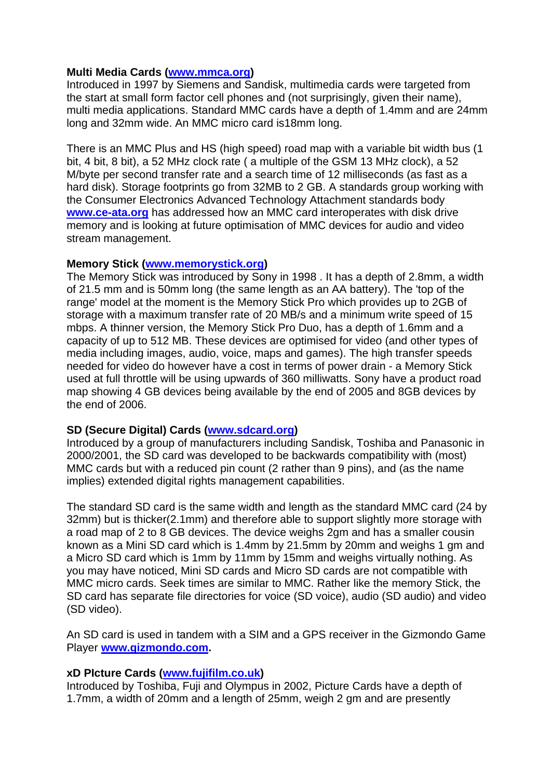### **Multi Media Cards [\(www.mmca.org\)](http://www.mmca.org/)**

Introduced in 1997 by Siemens and Sandisk, multimedia cards were targeted from the start at small form factor cell phones and (not surprisingly, given their name), multi media applications. Standard MMC cards have a depth of 1.4mm and are 24mm long and 32mm wide. An MMC micro card is18mm long.

There is an MMC Plus and HS (high speed) road map with a variable bit width bus (1 bit, 4 bit, 8 bit), a 52 MHz clock rate ( a multiple of the GSM 13 MHz clock), a 52 M/byte per second transfer rate and a search time of 12 milliseconds (as fast as a hard disk). Storage footprints go from 32MB to 2 GB. A standards group working with the Consumer Electronics Advanced Technology Attachment standards body **[www.ce-ata.org](http://www.ce-ata.org/)** has addressed how an MMC card interoperates with disk drive memory and is looking at future optimisation of MMC devices for audio and video stream management.

### **Memory Stick [\(www.memorystick.org](http://www.memorystick.org/))**

The Memory Stick was introduced by Sony in 1998 . It has a depth of 2.8mm, a width of 21.5 mm and is 50mm long (the same length as an AA battery). The 'top of the range' model at the moment is the Memory Stick Pro which provides up to 2GB of storage with a maximum transfer rate of 20 MB/s and a minimum write speed of 15 mbps. A thinner version, the Memory Stick Pro Duo, has a depth of 1.6mm and a capacity of up to 512 MB. These devices are optimised for video (and other types of media including images, audio, voice, maps and games). The high transfer speeds needed for video do however have a cost in terms of power drain - a Memory Stick used at full throttle will be using upwards of 360 milliwatts. Sony have a product road map showing 4 GB devices being available by the end of 2005 and 8GB devices by the end of 2006.

## **SD (Secure Digital) Cards ([www.sdcard.org](http://www.sdcard.org/))**

Introduced by a group of manufacturers including Sandisk, Toshiba and Panasonic in 2000/2001, the SD card was developed to be backwards compatibility with (most) MMC cards but with a reduced pin count (2 rather than 9 pins), and (as the name implies) extended digital rights management capabilities.

The standard SD card is the same width and length as the standard MMC card (24 by 32mm) but is thicker(2.1mm) and therefore able to support slightly more storage with a road map of 2 to 8 GB devices. The device weighs 2gm and has a smaller cousin known as a Mini SD card which is 1.4mm by 21.5mm by 20mm and weighs 1 gm and a Micro SD card which is 1mm by 11mm by 15mm and weighs virtually nothing. As you may have noticed, Mini SD cards and Micro SD cards are not compatible with MMC micro cards. Seek times are similar to MMC. Rather like the memory Stick, the SD card has separate file directories for voice (SD voice), audio (SD audio) and video (SD video).

An SD card is used in tandem with a SIM and a GPS receiver in the Gizmondo Game Player **[www.gizmondo.com](http://www.gizmondo.com/).** 

## **xD PIcture Cards [\(www.fujifilm.co.uk](http://www.fujifilm.co.uk/))**

Introduced by Toshiba, Fuji and Olympus in 2002, Picture Cards have a depth of 1.7mm, a width of 20mm and a length of 25mm, weigh 2 gm and are presently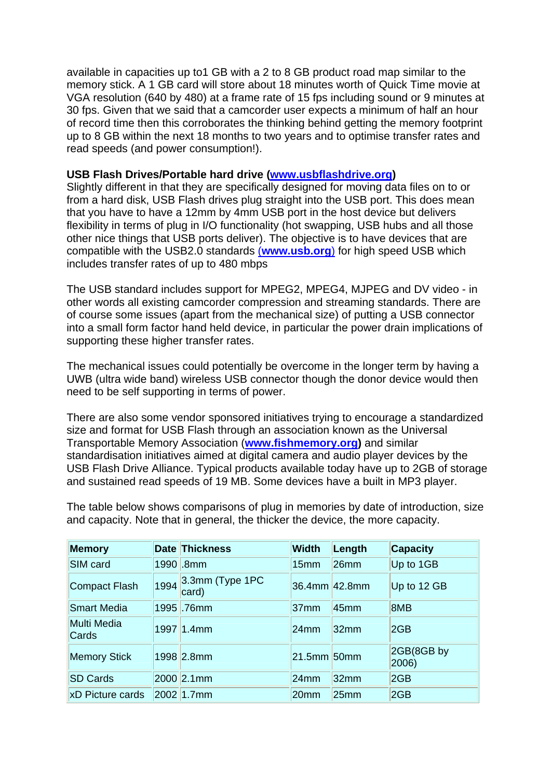available in capacities up to1 GB with a 2 to 8 GB product road map similar to the memory stick. A 1 GB card will store about 18 minutes worth of Quick Time movie at VGA resolution (640 by 480) at a frame rate of 15 fps including sound or 9 minutes at 30 fps. Given that we said that a camcorder user expects a minimum of half an hour of record time then this corroborates the thinking behind getting the memory footprint up to 8 GB within the next 18 months to two years and to optimise transfer rates and read speeds (and power consumption!).

### **USB Flash Drives/Portable hard drive [\(www.usbflashdrive.org](http://www.usbflashdrive.org/))**

Slightly different in that they are specifically designed for moving data files on to or from a hard disk, USB Flash drives plug straight into the USB port. This does mean that you have to have a 12mm by 4mm USB port in the host device but delivers flexibility in terms of plug in I/O functionality (hot swapping, USB hubs and all those other nice things that USB ports deliver). The objective is to have devices that are compatible with the USB2.0 standards (**[www.usb.org](http://www.usb.org/)**) for high speed USB which includes transfer rates of up to 480 mbps

The USB standard includes support for MPEG2, MPEG4, MJPEG and DV video - in other words all existing camcorder compression and streaming standards. There are of course some issues (apart from the mechanical size) of putting a USB connector into a small form factor hand held device, in particular the power drain implications of supporting these higher transfer rates.

The mechanical issues could potentially be overcome in the longer term by having a UWB (ultra wide band) wireless USB connector though the donor device would then need to be self supporting in terms of power.

There are also some vendor sponsored initiatives trying to encourage a standardized size and format for USB Flash through an association known as the Universal Transportable Memory Association (**[www.fishmemory.org\)](http://www.fishmemory.org/)** and similar standardisation initiatives aimed at digital camera and audio player devices by the USB Flash Drive Alliance. Typical products available today have up to 2GB of storage and sustained read speeds of 19 MB. Some devices have a built in MP3 player.

The table below shows comparisons of plug in memories by date of introduction, size and capacity. Note that in general, the thicker the device, the more capacity.

| <b>Memory</b>               |      | <b>Date Thickness</b>    | <b>Width</b>          | Length           | <b>Capacity</b>     |
|-----------------------------|------|--------------------------|-----------------------|------------------|---------------------|
| SIM card                    |      | 1990 .8mm                | 15 <sub>mm</sub>      | 26 <sub>mm</sub> | Up to 1GB           |
| <b>Compact Flash</b>        | 1994 | 3.3mm (Type 1PC<br>card) | $ 36.4$ mm $ 42.8$ mm |                  | Up to 12 GB         |
| <b>Smart Media</b>          |      | 1995.76mm                | 37 <sub>mm</sub>      | 45 <sub>mm</sub> | 8MB                 |
| <b>Multi Media</b><br>Cards |      | 1997 1.4mm               | 24 <sub>mm</sub>      | 32 <sub>mm</sub> | 2GB                 |
| <b>Memory Stick</b>         |      | 1998 2.8mm               | $21.5$ mm 50mm        |                  | 2GB(8GB by<br>2006) |
| <b>SD Cards</b>             |      | 2000 2.1mm               | 24 <sub>mm</sub>      | 32 <sub>mm</sub> | 2GB                 |
| xD Picture cards            |      | 2002 1.7mm               | 20 <sub>mm</sub>      | 25 <sub>mm</sub> | 2GB                 |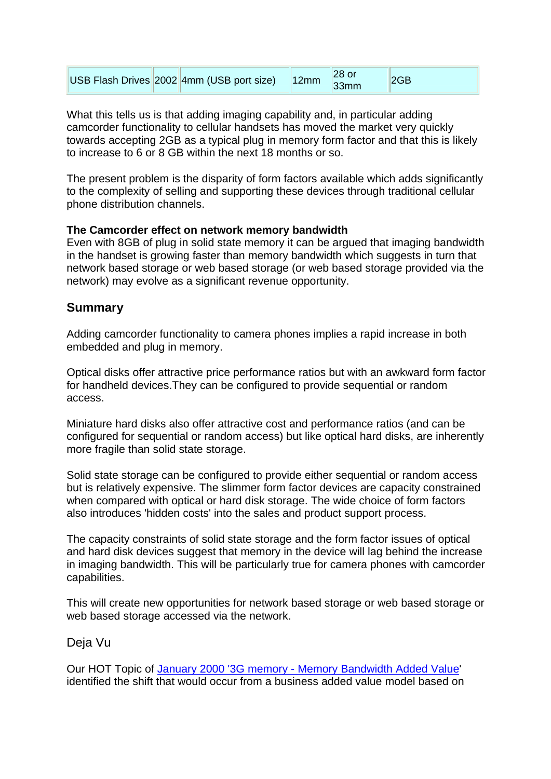| USB Flash Drives 2002 4mm (USB port size) | 12mm | 33mm | 2GB |
|-------------------------------------------|------|------|-----|
|-------------------------------------------|------|------|-----|

What this tells us is that adding imaging capability and, in particular adding camcorder functionality to cellular handsets has moved the market very quickly towards accepting 2GB as a typical plug in memory form factor and that this is likely to increase to 6 or 8 GB within the next 18 months or so.

The present problem is the disparity of form factors available which adds significantly to the complexity of selling and supporting these devices through traditional cellular phone distribution channels.

### **The Camcorder effect on network memory bandwidth**

Even with 8GB of plug in solid state memory it can be argued that imaging bandwidth in the handset is growing faster than memory bandwidth which suggests in turn that network based storage or web based storage (or web based storage provided via the network) may evolve as a significant revenue opportunity.

## **Summary**

Adding camcorder functionality to camera phones implies a rapid increase in both embedded and plug in memory.

Optical disks offer attractive price performance ratios but with an awkward form factor for handheld devices.They can be configured to provide sequential or random access.

Miniature hard disks also offer attractive cost and performance ratios (and can be configured for sequential or random access) but like optical hard disks, are inherently more fragile than solid state storage.

Solid state storage can be configured to provide either sequential or random access but is relatively expensive. The slimmer form factor devices are capacity constrained when compared with optical or hard disk storage. The wide choice of form factors also introduces 'hidden costs' into the sales and product support process.

The capacity constraints of solid state storage and the form factor issues of optical and hard disk devices suggest that memory in the device will lag behind the increase in imaging bandwidth. This will be particularly true for camera phones with camcorder capabilities.

This will create new opportunities for network based storage or web based storage or web based storage accessed via the network.

## Deja Vu

Our HOT Topic of [January 2000 '3G memory - Memory Bandwidth Added Value](http://www.rttonline.com/hottop_frame.htm)' identified the shift that would occur from a business added value model based on